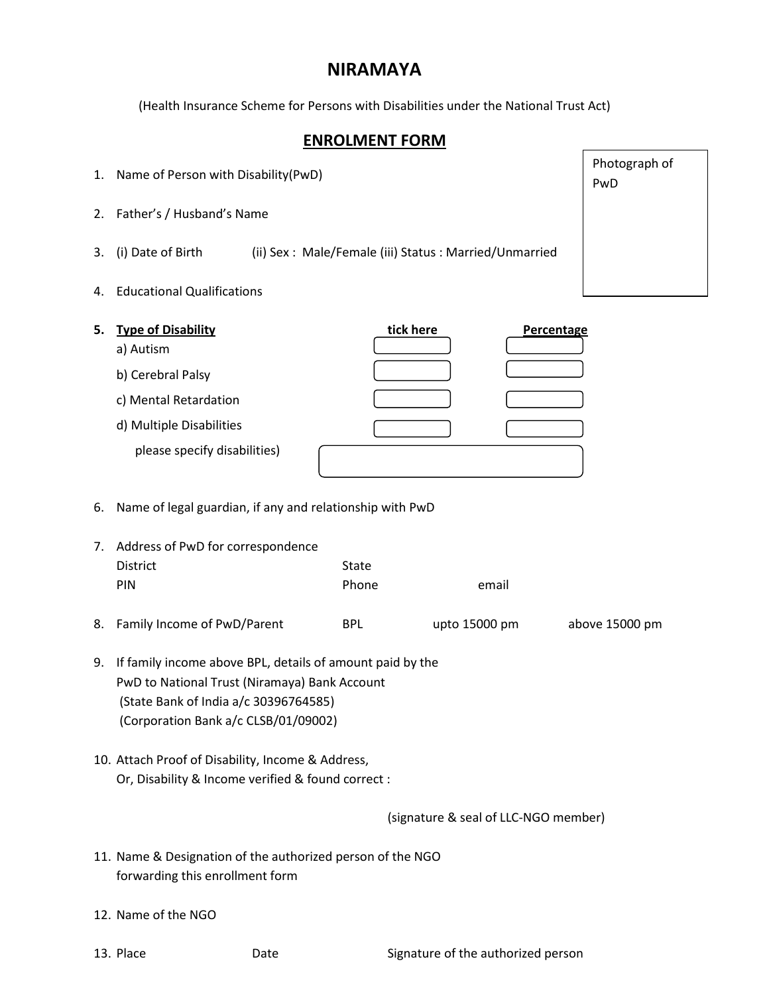## **NIRAMAYA**

(Health Insurance Scheme for Persons with Disabilities under the National Trust Act)

## **ENROLMENT FORM**

|  | 1. Name of Person with Disability (PwD) |  |  |  |
|--|-----------------------------------------|--|--|--|
|--|-----------------------------------------|--|--|--|

- 2. Father's / Husband's Name
- 3. (i) Date of Birth (ii) Sex : Male/Female (iii) Status : Married/Unmarried
- 4. Educational Qualifications

| 5. | <b>Type of Disability</b>    | tick here | Percentage |
|----|------------------------------|-----------|------------|
|    | a) Autism                    |           |            |
|    | b) Cerebral Palsy            |           |            |
|    | c) Mental Retardation        |           |            |
|    | d) Multiple Disabilities     |           |            |
|    | please specify disabilities) |           |            |

## 6. Name of legal guardian, if any and relationship with PwD

| 7. Address of PwD for correspondence |              |       |  |  |  |
|--------------------------------------|--------------|-------|--|--|--|
| <b>District</b>                      | State        |       |  |  |  |
| PIN                                  | <b>Phone</b> | email |  |  |  |
|                                      |              |       |  |  |  |

- 8. Family Income of PwD/Parent BPL upto 15000 pm above 15000 pm
- 9. If family income above BPL, details of amount paid by the PwD to National Trust (Niramaya) Bank Account (State Bank of India a/c 30396764585) (Corporation Bank a/c CLSB/01/09002)
- 10. Attach Proof of Disability, Income & Address, Or, Disability & Income verified & found correct :

(signature & seal of LLC-NGO member)

- 11. Name & Designation of the authorized person of the NGO forwarding this enrollment form
- 12. Name of the NGO
- 

Photograph of PwD